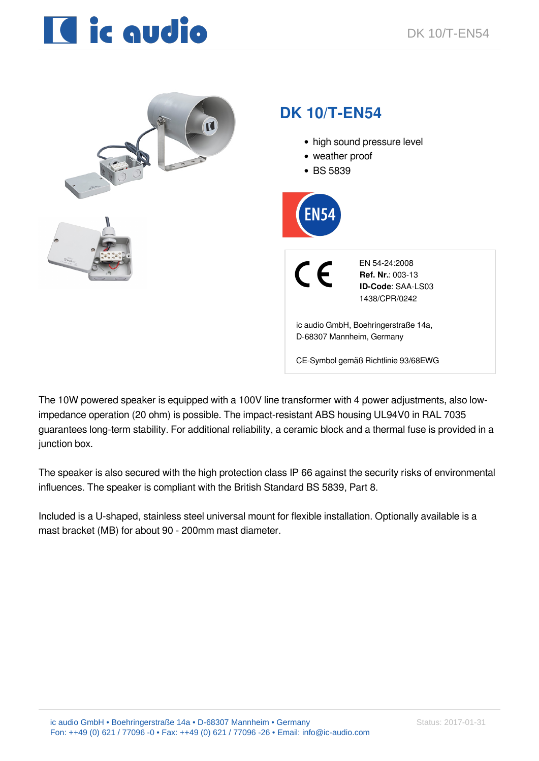# **IC** ic qudio



The 10W powered speaker is equipped with a 100V line transformer with 4 power adjustments, also lowimpedance operation (20 ohm) is possible. The impact-resistant ABS housing UL94V0 in RAL 7035 guarantees long-term stability. For additional reliability, a ceramic block and a thermal fuse is provided in a junction box.

The speaker is also secured with the high protection class IP 66 against the security risks of environmental influences. The speaker is compliant with the British Standard BS 5839, Part 8.

Included is a U-shaped, stainless steel universal mount for flexible installation. Optionally available is a mast bracket (MB) for about 90 - 200mm mast diameter.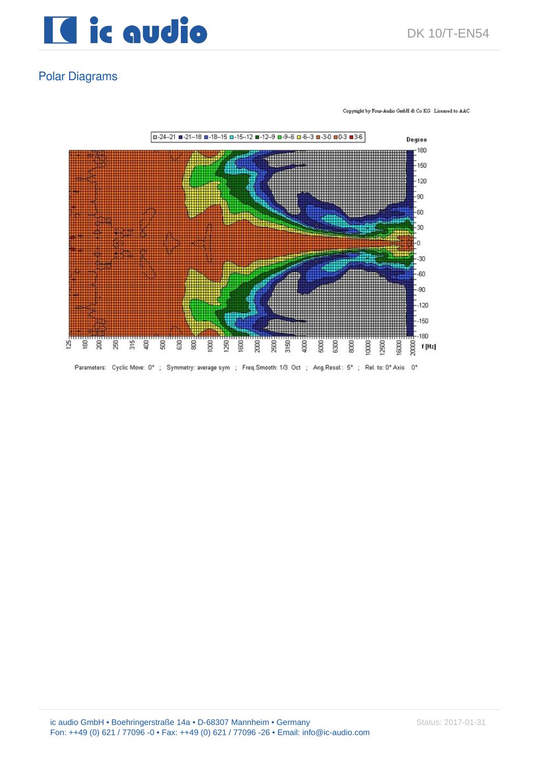

#### Polar Diagrams

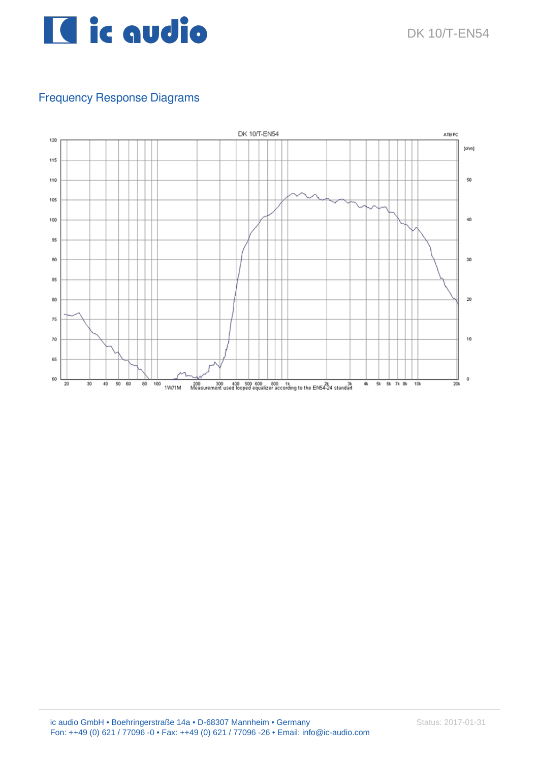

### Frequency Response Diagrams

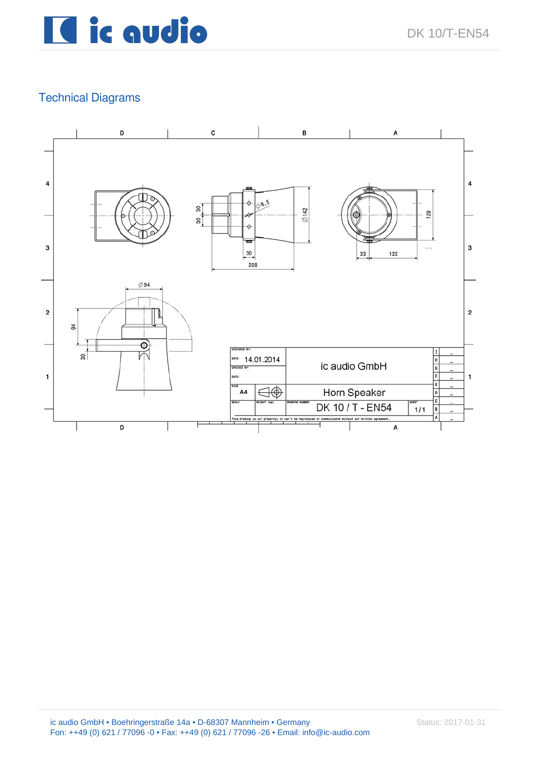

#### Technical Diagrams

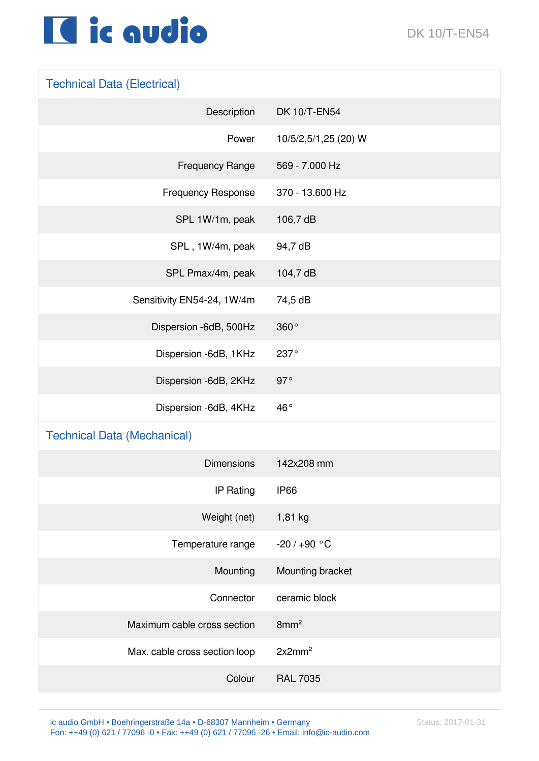## Il ic audio

## Technical Data (Electrical)

| Description                        | DK 10/T-EN54         |
|------------------------------------|----------------------|
| Power                              | 10/5/2,5/1,25 (20) W |
| <b>Frequency Range</b>             | 569 - 7.000 Hz       |
| <b>Frequency Response</b>          | 370 - 13.600 Hz      |
| SPL 1W/1m, peak                    | 106,7 dB             |
| SPL, 1W/4m, peak                   | 94,7 dB              |
| SPL Pmax/4m, peak                  | 104,7 dB             |
| Sensitivity EN54-24, 1W/4m         | 74,5 dB              |
| Dispersion -6dB, 500Hz             | 360°                 |
| Dispersion -6dB, 1KHz              | 237°                 |
| Dispersion -6dB, 2KHz              | 97°                  |
| Dispersion -6dB, 4KHz              | 46°                  |
| <b>Technical Data (Mechanical)</b> |                      |
| <b>Dimensions</b>                  | 142x208 mm           |
| <b>IP Rating</b>                   | <b>IP66</b>          |
| Weight (net)                       | 1,81 kg              |
| Temperature range                  | $-20/+90 °C$         |
| Mounting                           | Mounting bracket     |
| Connector                          | ceramic block        |
| Maximum cable cross section        | 8mm <sup>2</sup>     |
| Max. cable cross section loop      | 2x2mm <sup>2</sup>   |
| Colour                             | <b>RAL 7035</b>      |